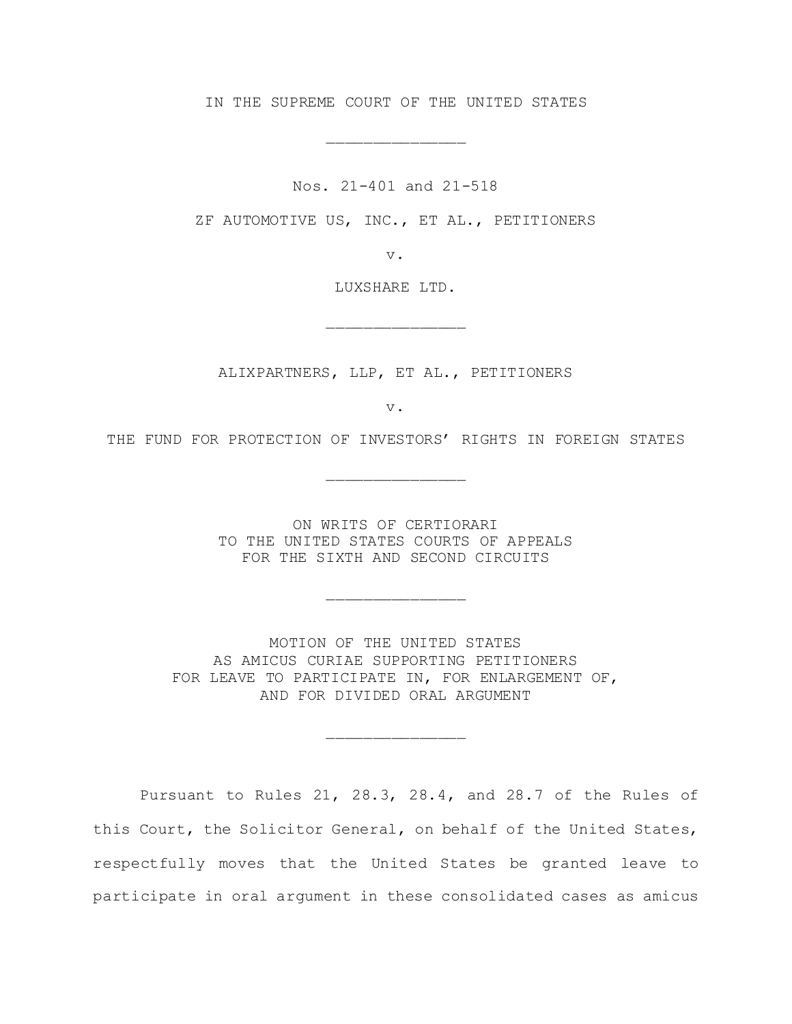IN THE SUPREME COURT OF THE UNITED STATES

\_\_\_\_\_\_\_\_\_\_\_\_\_\_\_

Nos. 21-401 and 21-518

ZF AUTOMOTIVE US, INC., ET AL., PETITIONERS

v.

LUXSHARE LTD.

\_\_\_\_\_\_\_\_\_\_\_\_\_\_\_

ALIXPARTNERS, LLP, ET AL., PETITIONERS

v.

THE FUND FOR PROTECTION OF INVESTORS' RIGHTS IN FOREIGN STATES

\_\_\_\_\_\_\_\_\_\_\_\_\_\_\_

ON WRITS OF CERTIORARI TO THE UNITED STATES COURTS OF APPEALS FOR THE SIXTH AND SECOND CIRCUITS

\_\_\_\_\_\_\_\_\_\_\_\_\_\_\_

MOTION OF THE UNITED STATES AS AMICUS CURIAE SUPPORTING PETITIONERS FOR LEAVE TO PARTICIPATE IN, FOR ENLARGEMENT OF, AND FOR DIVIDED ORAL ARGUMENT

\_\_\_\_\_\_\_\_\_\_\_\_\_\_\_

Pursuant to Rules 21, 28.3, 28.4, and 28.7 of the Rules of this Court, the Solicitor General, on behalf of the United States, respectfully moves that the United States be granted leave to participate in oral argument in these consolidated cases as amicus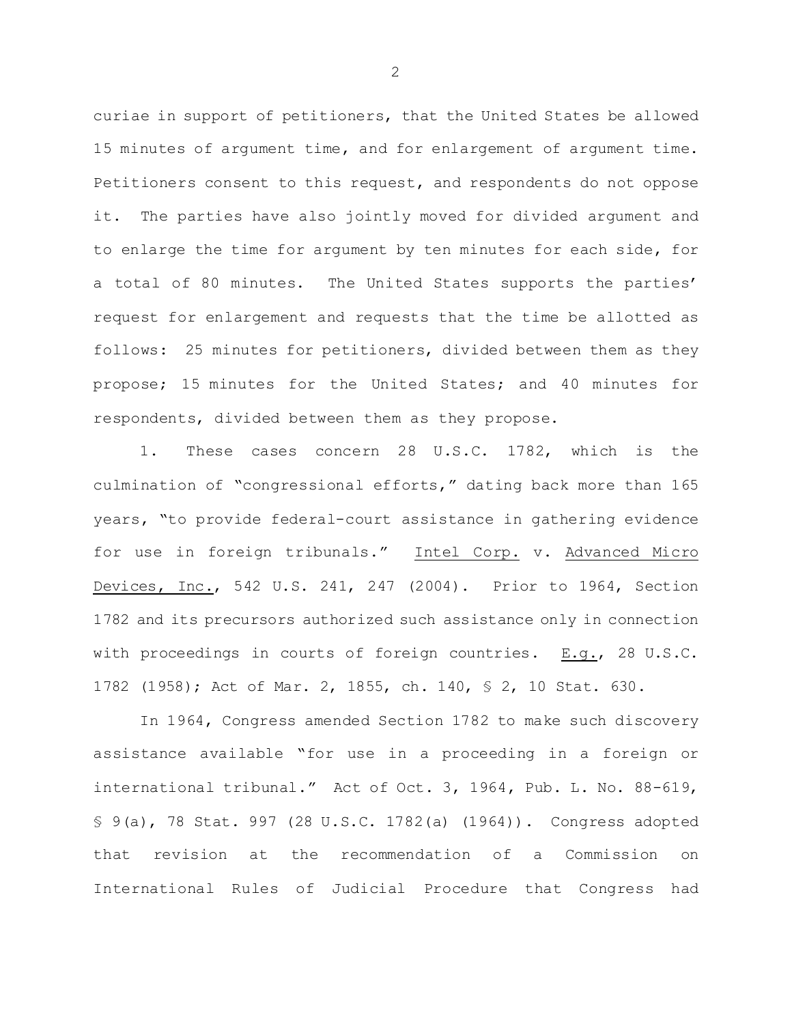curiae in support of petitioners, that the United States be allowed 15 minutes of argument time, and for enlargement of argument time. Petitioners consent to this request, and respondents do not oppose it. The parties have also jointly moved for divided argument and to enlarge the time for argument by ten minutes for each side, for a total of 80 minutes. The United States supports the parties' request for enlargement and requests that the time be allotted as follows: 25 minutes for petitioners, divided between them as they propose; 15 minutes for the United States; and 40 minutes for respondents, divided between them as they propose.

1. These cases concern 28 U.S.C. 1782, which is the culmination of "congressional efforts," dating back more than 165 years, "to provide federal-court assistance in gathering evidence for use in foreign tribunals." Intel Corp. v. Advanced Micro Devices, Inc., 542 U.S. 241, 247 (2004). Prior to 1964, Section 1782 and its precursors authorized such assistance only in connection with proceedings in courts of foreign countries. E.g., 28 U.S.C. 1782 (1958); Act of Mar. 2, 1855, ch. 140, § 2, 10 Stat. 630.

In 1964, Congress amended Section 1782 to make such discovery assistance available "for use in a proceeding in a foreign or international tribunal." Act of Oct. 3, 1964, Pub. L. No. 88-619, § 9(a), 78 Stat. 997 (28 U.S.C. 1782(a) (1964)). Congress adopted that revision at the recommendation of a Commission on International Rules of Judicial Procedure that Congress had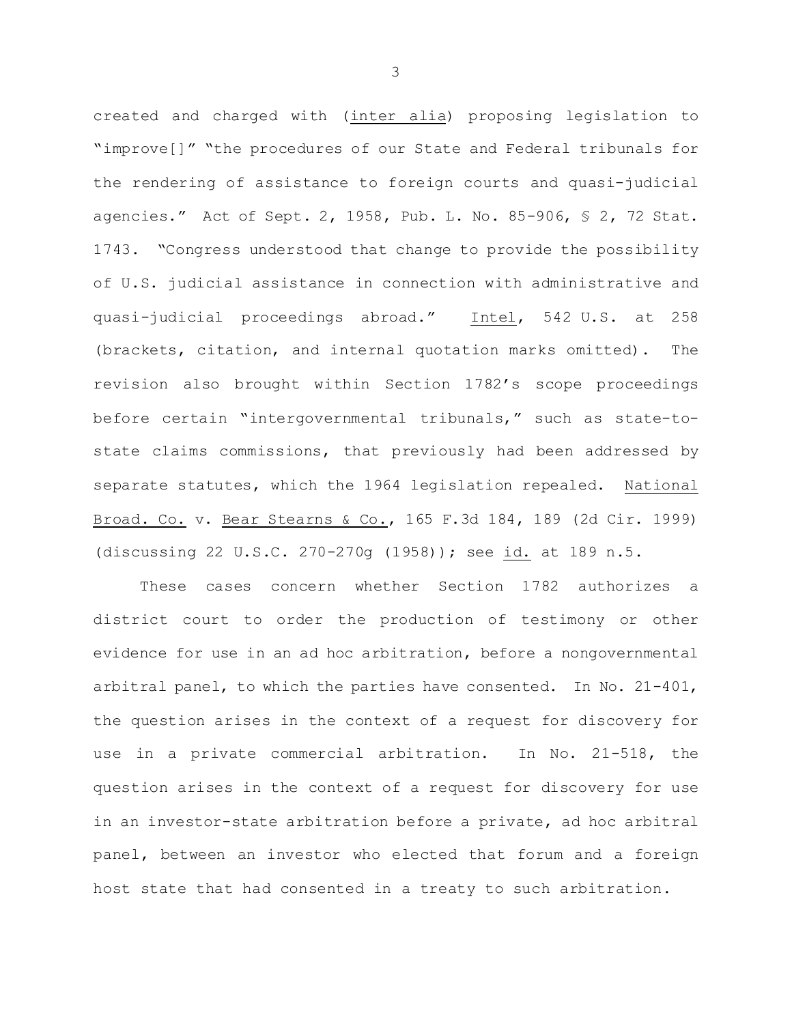created and charged with (inter alia) proposing legislation to "improve[]" "the procedures of our State and Federal tribunals for the rendering of assistance to foreign courts and quasi-judicial agencies." Act of Sept. 2, 1958, Pub. L. No. 85-906, § 2, 72 Stat. 1743. "Congress understood that change to provide the possibility of U.S. judicial assistance in connection with administrative and quasi-judicial proceedings abroad." Intel, 542 U.S. at 258 (brackets, citation, and internal quotation marks omitted). The revision also brought within Section 1782's scope proceedings before certain "intergovernmental tribunals," such as state-tostate claims commissions, that previously had been addressed by separate statutes, which the 1964 legislation repealed. National Broad. Co. v. Bear Stearns & Co., 165 F.3d 184, 189 (2d Cir. 1999) (discussing 22 U.S.C. 270-270g (1958)); see id. at 189 n.5.

These cases concern whether Section 1782 authorizes a district court to order the production of testimony or other evidence for use in an ad hoc arbitration, before a nongovernmental arbitral panel, to which the parties have consented. In No. 21-401, the question arises in the context of a request for discovery for use in a private commercial arbitration. In No. 21-518, the question arises in the context of a request for discovery for use in an investor-state arbitration before a private, ad hoc arbitral panel, between an investor who elected that forum and a foreign host state that had consented in a treaty to such arbitration.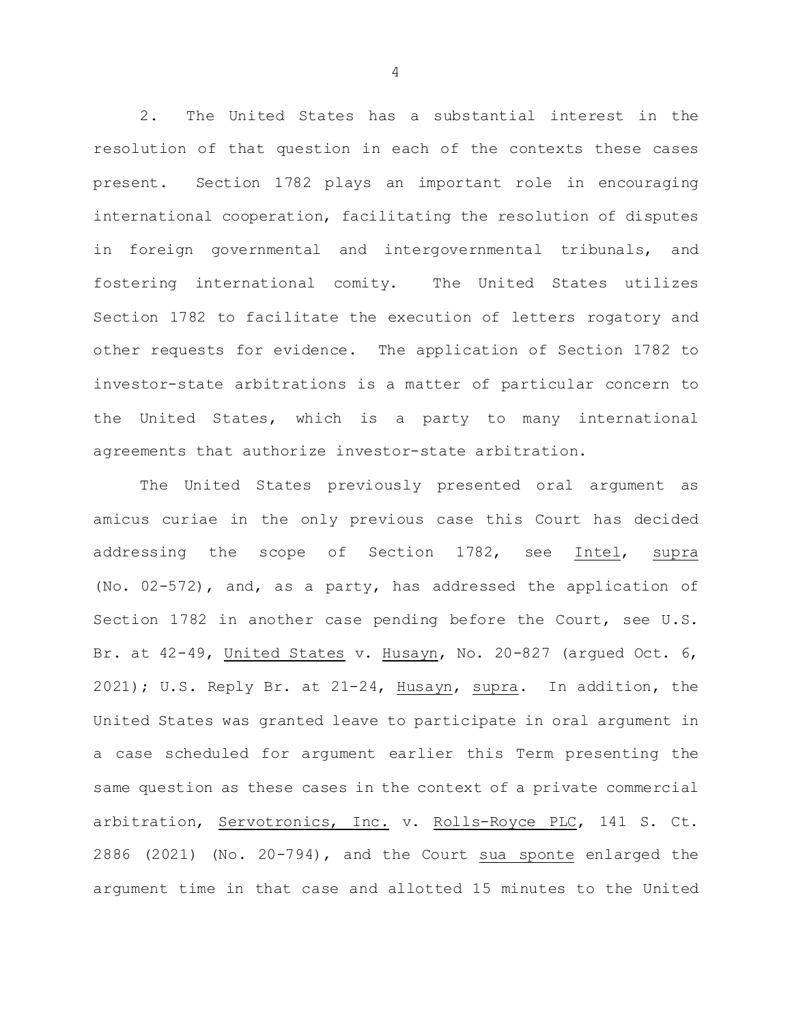2. The United States has a substantial interest in the resolution of that question in each of the contexts these cases present. Section 1782 plays an important role in encouraging international cooperation, facilitating the resolution of disputes in foreign governmental and intergovernmental tribunals, and fostering international comity. The United States utilizes Section 1782 to facilitate the execution of letters rogatory and other requests for evidence. The application of Section 1782 to investor-state arbitrations is a matter of particular concern to the United States, which is a party to many international agreements that authorize investor-state arbitration.

The United States previously presented oral argument as amicus curiae in the only previous case this Court has decided addressing the scope of Section 1782, see Intel, supra (No. 02-572), and, as a party, has addressed the application of Section 1782 in another case pending before the Court, see U.S. Br. at 42-49, United States v. Husayn, No. 20-827 (argued Oct. 6, 2021); U.S. Reply Br. at 21-24, Husayn, supra. In addition, the United States was granted leave to participate in oral argument in a case scheduled for argument earlier this Term presenting the same question as these cases in the context of a private commercial arbitration, Servotronics, Inc. v. Rolls-Royce PLC, 141 S. Ct. 2886 (2021) (No. 20-794), and the Court sua sponte enlarged the argument time in that case and allotted 15 minutes to the United